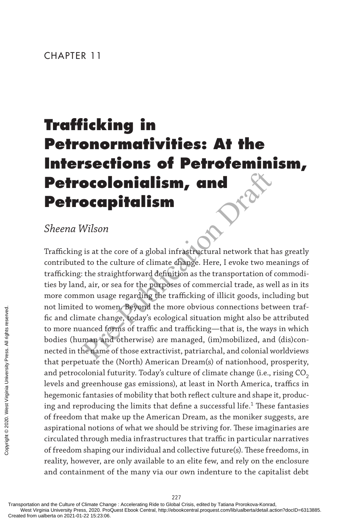# **Trafficking in Petronormativities: At the Intersections of Petrofeminism, Petrocolonialism, and Petrocapitalism**

# *Sheena Wilson*

**Decolution Constrainers of the Constrainer of the Constrainer of the Constrainer of the culture of climate change. Here, I evoke two me<br>the straightforward definition as the transportation of the straightforward definitio** Trafficking is at the core of a global infrastructural network that has greatly contributed to the culture of climate change. Here, I evoke two meanings of trafficking: the straightforward definition as the transportation of commodities by land, air, or sea for the purposes of commercial trade, as well as in its more common usage regarding the trafficking of illicit goods, including but not limited to women. Beyond the more obvious connections between traffic and climate change, today's ecological situation might also be attributed to more nuanced forms of traffic and trafficking—that is, the ways in which bodies (human and otherwise) are managed, (im)mobilized, and (dis)connected in the name of those extractivist, patriarchal, and colonial worldviews that perpetuate the (North) American Dream(s) of nationhood, prosperity, and petrocolonial futurity. Today's culture of climate change (i.e., rising CO<sub>2</sub> levels and greenhouse gas emissions), at least in North America, traffics in hegemonic fantasies of mobility that both reflect culture and shape it, producing and reproducing the limits that define a successful life. $^{\rm 1}$  These fantasies of freedom that make up the American Dream, as the moniker suggests, are aspirational notions of what we should be striving for. These imaginaries are circulated through media infrastructures that traffic in particular narratives of freedom shaping our individual and collective future(s). These freedoms, in reality, however, are only available to an elite few, and rely on the enclosure and containment of the many via our own indenture to the capitalist debt From the computation and the Culture of Climate Change of Transportation and the Culture of Climate Change of Freedom shaping reality, however, are and containment of Transportation and the Culture of Climate Changestar We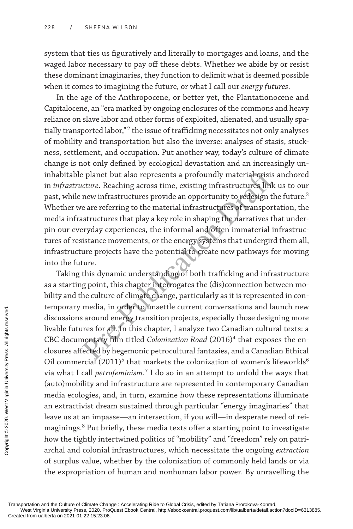system that ties us figuratively and literally to mortgages and loans, and the waged labor necessary to pay off these debts. Whether we abide by or resist these dominant imaginaries, they function to delimit what is deemed possible when it comes to imagining the future, or what I call our *energy futures*.

Presents a profoundly material crisis<br>
reture. Reaching across time, existing infrastructures link<br>
new infrastructures provide an opportunity to redesign the<br>
new infrastructures provide an opportunity to redesign the<br>
ne In the age of the Anthropocene, or better yet, the Plantationocene and Capitalocene, an "era marked by ongoing enclosures of the commons and heavy reliance on slave labor and other forms of exploited, alienated, and usually spatially transported labor,"<sup>2</sup> the issue of trafficking necessitates not only analyses of mobility and transportation but also the inverse: analyses of stasis, stuckness, settlement, and occupation. Put another way, today's culture of climate change is not only defined by ecological devastation and an increasingly uninhabitable planet but also represents a profoundly material crisis anchored in *infrastructure*. Reaching across time, existing infrastructures link us to our past, while new infrastructures provide an opportunity to redesign the future. $^3$ Whether we are referring to the material infrastructures of transportation, the media infrastructures that play a key role in shaping the narratives that underpin our everyday experiences, the informal and often immaterial infrastructures of resistance movements, or the energy systems that undergird them all, infrastructure projects have the potential to create new pathways for moving into the future.

Taking this dynamic understanding of both trafficking and infrastructure as a starting point, this chapter interrogates the (dis)connection between mobility and the culture of climate change, particularly as it is represented in contemporary media, in order to unsettle current conversations and launch new discussions around energy transition projects, especially those designing more livable futures for all. In this chapter, I analyze two Canadian cultural texts: a CBC documentary film titled *Colonization Road* (2016)<sup>4</sup> that exposes the enclosures affected by hegemonic petrocultural fantasies, and a Canadian Ethical Oil commercial  $(2011)^5$  that markets the colonization of women's lifeworlds $^6$ via what I call *petrofeminism*. 7 I do so in an attempt to unfold the ways that (auto)mobility and infrastructure are represented in contemporary Canadian media ecologies, and, in turn, examine how these representations illuminate an extractivist dream sustained through particular "energy imaginaries" that leave us at an impasse—an intersection, if you will—in desperate need of reimaginings. 8 Put briefly, these media texts offer a starting point to investigate how the tightly intertwined politics of "mobility" and "freedom" rely on patriarchal and colonial infrastructures, which necessitate the ongoing *extraction* of surplus value, whether by the colonization of commonly held lands or via the expropriation of human and nonhuman labor power. By unravelling the Eremporary media, i<br>discussions around<br>livable futures for a<br>CBC documentary<br>closures affected by<br>Oil commercial (20<br>via what I call *petro*<br>(auto)mobility and<br>media ecologies, an<br>an extractivist drea<br>leave us at an impax<br>

Transportation and the Culture of Climate Change : Accelerating Ride to Global Crisis, edited by Tatiana Prorokova-Konrad,

West Virginia University Press, 2020. ProQuest Ebook Central, http://ebookcentral.proquest.com/lib/ualberta/detail.action?docID=6313885.<br>Created from ualberta on 2021-01-22 15:23:06.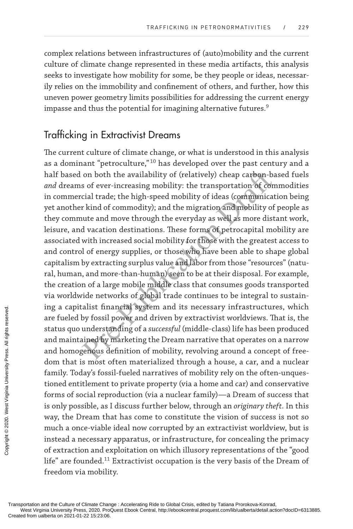complex relations between infrastructures of (auto)mobility and the current culture of climate change represented in these media artifacts, this analysis seeks to investigate how mobility for some, be they people or ideas, necessarily relies on the immobility and confinement of others, and further, how this uneven power geometry limits possibilities for addressing the current energy impasse and thus the potential for imagining alternative futures. $^9$ 

## Trafficking in Extractivist Dreams

or both the availability of (relatively) cheap carbon-bas of ever-increasing mobility: the transportation of concial trade; the high-speed mobility of ideas (communicat r kind of commodity); and the migration and mobility The current culture of climate change, or what is understood in this analysis as a dominant "petroculture," $^{\rm 10}$  has developed over the past century and a half based on both the availability of (relatively) cheap carbon-based fuels *and* dreams of ever-increasing mobility: the transportation of commodities in commercial trade; the high-speed mobility of ideas (communication being yet another kind of commodity); and the migration and mobility of people as they commute and move through the everyday as well as more distant work, leisure, and vacation destinations. These forms of petrocapital mobility are associated with increased social mobility for those with the greatest access to and control of energy supplies, or those who have been able to shape global capitalism by extracting surplus value and labor from those "resources" (natural, human, and more-than-human) seen to be at their disposal. For example, the creation of a large mobile middle class that consumes goods transported via worldwide networks of global trade continues to be integral to sustaining a capitalist financial system and its necessary infrastructures, which are fueled by fossil power and driven by extractivist worldviews. That is, the status quo understanding of a *successful* (middle-class) life has been produced and maintained by marketing the Dream narrative that operates on a narrow and homogenous definition of mobility, revolving around a concept of freedom that is most often materialized through a house, a car, and a nuclear family. Today's fossil-fueled narratives of mobility rely on the often-unquestioned entitlement to private property (via a home and car) and conservative forms of social reproduction (via a nuclear family)—a Dream of success that is only possible, as I discuss further below, through an *originary theft*. In this way, the Dream that has come to constitute the vision of success is not so much a once-viable ideal now corrupted by an extractivist worldview, but is instead a necessary apparatus, or infrastructure, for concealing the primacy of extraction and exploitation on which illusory representations of the "good life" are founded. <sup>11</sup> Extractivist occupation is the very basis of the Dream of freedom via mobility. Transportation and the Culture of Climate Characterial on 2021-01-22 15:23:06<br>Created from ualberta on 2021-01-22 15:23:06<br>Created from ualberta on 2021-01-22 15:23:06.<br>Copyrights reserved.<br>Transportation and the Culture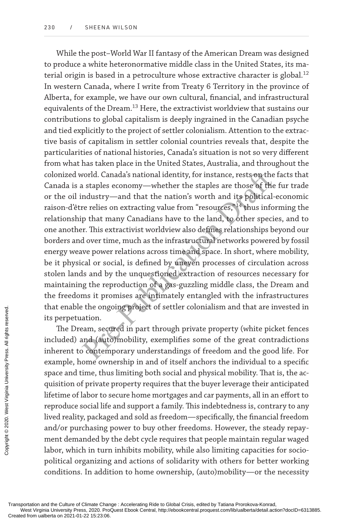world. Canada's national identity, for instance, rests on the<br>a staples economy—whether the staples are those of the<br>ndustry—and that the nation's worth and its political-<br>re relies on extracting value from "resources,"<sup>14</sup> While the post–World War II fantasy of the American Dream was designed to produce a white heteronormative middle class in the United States, its material origin is based in a petroculture whose extractive character is global.<sup>12</sup> In western Canada, where I write from Treaty 6 Territory in the province of Alberta, for example, we have our own cultural, financial, and infrastructural equivalents of the Dream.<sup>13</sup> Here, the extractivist worldview that sustains our contributions to global capitalism is deeply ingrained in the Canadian psyche and tied explicitly to the project of settler colonialism. Attention to the extractive basis of capitalism in settler colonial countries reveals that, despite the particularities of national histories, Canada's situation is not so very different from what has taken place in the United States, Australia, and throughout the colonized world. Canada's national identity, for instance, rests on the facts that Canada is a staples economy—whether the staples are those of the fur trade or the oil industry—and that the nation's worth and its political-economic raison-d'être relies on extracting value from "resources," <sup>14</sup> thus informing the relationship that many Canadians have to the land, to other species, and to one another. This extractivist worldview also defines relationships beyond our borders and over time, much as the infrastructural networks powered by fossil energy weave power relations across time and space. In short, where mobility, be it physical or social, is defined by uneven processes of circulation across stolen lands and by the unquestioned extraction of resources necessary for maintaining the reproduction of a gas-guzzling middle class, the Dream and the freedoms it promises are intimately entangled with the infrastructures that enable the ongoing project of settler colonialism and that are invested in its perpetuation.

The Dream, secured in part through private property (white picket fences included) and (auto)mobility, exemplifies some of the great contradictions inherent to contemporary understandings of freedom and the good life. For example, home ownership in and of itself anchors the individual to a specific space and time, thus limiting both social and physical mobility. That is, the acquisition of private property requires that the buyer leverage their anticipated lifetime of labor to secure home mortgages and car payments, all in an effort to reproduce social life and support a family. This indebtedness is, contrary to any lived reality, packaged and sold as freedom—specifically, the financial freedom and/or purchasing power to buy other freedoms. However, the steady repayment demanded by the debt cycle requires that people maintain regular waged labor, which in turn inhibits mobility, while also limiting capacities for sociopolitical organizing and actions of solidarity with others for better working conditions. In addition to home ownership, (auto)mobility—or the necessity Transportation and the Culture of Climate Charlot Created from ualberta on 2021-01-22 15:23:06. Created from ualberta on 2021-01-22 15:23:06. Protected from ualberta on 2021-01-22 15:23:06. Protected from ualberta on 2021-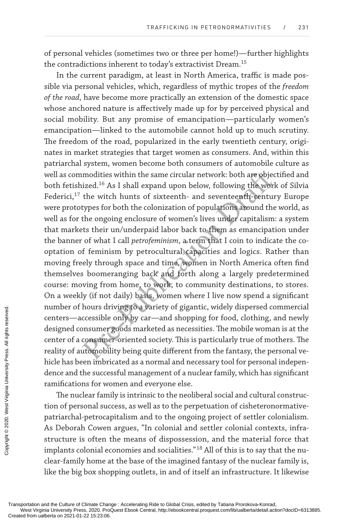of personal vehicles (sometimes two or three per home!)—further highlights the contradictions inherent to today's extractivist Dream.<sup>15</sup>

modities within the same circular network: both are objec<br>ized.<sup>16</sup> As I shall expand upon below, following the worl<br>the witch hunts of sixteenth- and seventeenth-centur<br>types for both the colonization of populations aroun In the current paradigm, at least in North America, traffic is made possible via personal vehicles, which, regardless of mythic tropes of the *freedom of the road*, have become more practically an extension of the domestic space whose anchored nature is affectively made up for by perceived physical and social mobility. But any promise of emancipation—particularly women's emancipation—linked to the automobile cannot hold up to much scrutiny. The freedom of the road, popularized in the early twentieth century, originates in market strategies that target women as consumers. And, within this patriarchal system, women become both consumers of automobile culture as well as commodities within the same circular network: both are objectified and both fetishized.<sup>16</sup> As I shall expand upon below, following the work of Silvia Federici,<sup>17</sup> the witch hunts of sixteenth- and seventeenth-century Europe were prototypes for both the colonization of populations around the world, as well as for the ongoing enclosure of women's lives under capitalism: a system that markets their un/underpaid labor back to them as emancipation under the banner of what I call *petrofeminism*, a term that I coin to indicate the cooptation of feminism by petrocultural capacities and logics. Rather than moving freely through space and time, women in North America often find themselves boomeranging back and forth along a largely predetermined course: moving from home, to work, to community destinations, to stores. On a weekly (if not daily) basis, women where I live now spend a significant number of hours driving to a variety of gigantic, widely dispersed commercial centers—accessible only by car—and shopping for food, clothing, and newly designed consumer goods marketed as necessities. The mobile woman is at the center of a consumer-oriented society. This is particularly true of mothers. The reality of automobility being quite different from the fantasy, the personal vehicle has been imbricated as a normal and necessary tool for personal independence and the successful management of a nuclear family, which has significant ramifications for women and everyone else.

The nuclear family is intrinsic to the neoliberal social and cultural construction of personal success, as well as to the perpetuation of cisheteronormativepatriarchal-petrocapitalism and to the ongoing project of settler colonialism. As Deborah Cowen argues, "In colonial and settler colonial contexts, infrastructure is often the means of dispossession, and the material force that implants colonial economies and socialities." $^{\rm 18}$  All of this is to say that the nuclear-family home at the base of the imagined fantasy of the nuclear family is, like the big box shopping outlets, in and of itself an infrastructure. It likewise Transportation and the Culture of Climate Characterial Created from ualberta on 2021-01-22 15:23:06. Predeted from ualberta on 2021-01-22 15:23:06. Predeted from ualberta on 2021-01-22 15:23:06. Predeted from ualberta on 2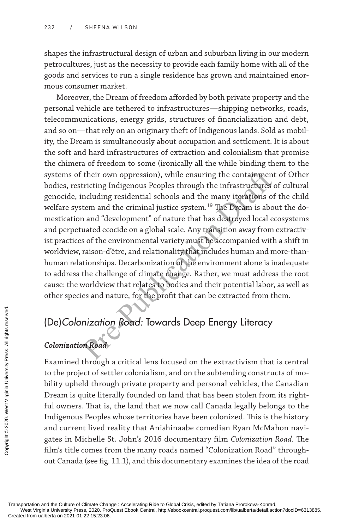shapes the infrastructural design of urban and suburban living in our modern petrocultures, just as the necessity to provide each family home with all of the goods and services to run a single residence has grown and maintained enormous consumer market.

their own oppression), while ensuring the containment<br>tricting Indigenous Peoples through the infrastructures of<br>ncluding residential schools and the many iterations of<br>tem and the criminal justice system.<sup>19</sup> The Dream is Moreover, the Dream of freedom afforded by both private property and the personal vehicle are tethered to infrastructures—shipping networks, roads, telecommunications, energy grids, structures of financialization and debt, and so on—that rely on an originary theft of Indigenous lands. Sold as mobility, the Dream is simultaneously about occupation and settlement. It is about the soft and hard infrastructures of extraction and colonialism that promise the chimera of freedom to some (ironically all the while binding them to the systems of their own oppression), while ensuring the containment of Other bodies, restricting Indigenous Peoples through the infrastructures of cultural genocide, including residential schools and the many iterations of the child welfare system and the criminal justice system.<sup>19</sup> The Dream is about the domestication and "development" of nature that has destroyed local ecosystems and perpetuated ecocide on a global scale. Any transition away from extractivist practices of the environmental variety must be accompanied with a shift in worldview, raison-d'être, and relationality that includes human and more-thanhuman relationships. Decarbonization of the environment alone is inadequate to address the challenge of climate change. Rather, we must address the root cause: the worldview that relates to bodies and their potential labor, as well as other species and nature, for the profit that can be extracted from them.

# (De)Colonization Road: Towards Deep Energy Literacy

## **Colonization Road**

Examined through a critical lens focused on the extractivism that is central to the project of settler colonialism, and on the subtending constructs of mobility upheld through private property and personal vehicles, the Canadian Dream is quite literally founded on land that has been stolen from its rightful owners. That is, the land that we now call Canada legally belongs to the Indigenous Peoples whose territories have been colonized. This is the history and current lived reality that Anishinaabe comedian Ryan McMahon navigates in Michelle St. John's 2016 documentary film *Colonization Road.* The film's title comes from the many roads named "Colonization Road" throughout Canada (see fig. 11.1), and this documentary examines the idea of the road Examined through<br>
Examined through<br>
to the project of set<br>
bility upheld throu<br>
Dream is quite liter<br>
ful owners. That is,<br>
Indigenous Peoples<br>
and current lived r<br>
gates in Michelle S<br>
film's title comes fr<br>
out Canada (s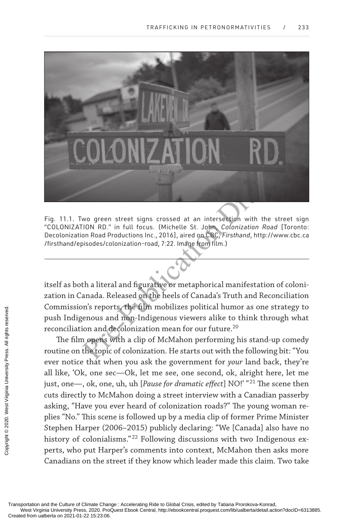

fig. 11.1. two green street signs crossed at an intersection with the street sign "Colonization rd." in full focus. (michelle st. John, *Colonization Road* [toronto: Decolonization Road Productions Inc., 2016], aired on CBC, *Firsthand*, http://www.cbc.ca /firsthand/episodes/colonization-road, 7:22. image from film.)

wo green street signs crossed at an intersection with the :<br>
FION RD." in full focus. (Michelle St. John, *Colonization Road*<br>
on Road Productions Inc., 2016], aired on CBC, *Firsthand*, http://v<br>
bisodes/colonization-road itself as both a literal and figurative or metaphorical manifestation of colonization in Canada. Released on the heels of Canada's Truth and Reconciliation Commission's reports, the film mobilizes political humor as one strategy to push Indigenous and non-Indigenous viewers alike to think through what reconciliation and decolonization mean for our future.<sup>20</sup> **<Insert ch.11\_fig.1>**

The film opens with a clip of McMahon performing his stand-up comedy routine on the topic of colonization. He starts out with the following bit: "You ever notice that when you ask the government for *your* land back, they're all like, 'Ok, one sec—Ok, let me see, one second, ok, alright here, let me just, one—, ok, one, uh, uh [*Pause for dramatic effect*] NO!' "<sup>21</sup> The scene then cuts directly to McMahon doing a street interview with a Canadian passerby asking, "Have you ever heard of colonization roads?" The young woman replies "No." This scene is followed up by a media clip of former Prime Minister Stephen Harper (2006–2015) publicly declaring: "We [Canada] also have no history of colonialisms." 22 Following discussions with two Indigenous experts, who put Harper's comments into context, McMahon then asks more Canadians on the street if they know which leader made this claim. Two take Commissions repoted and the Culture of Climate Characterial Transportation and the Culture of Climate Characterial form ualberta on 2021-01-22 15:23:06. Copyright Characterian Caracterial from ualberta on 2021-01-22 15:23: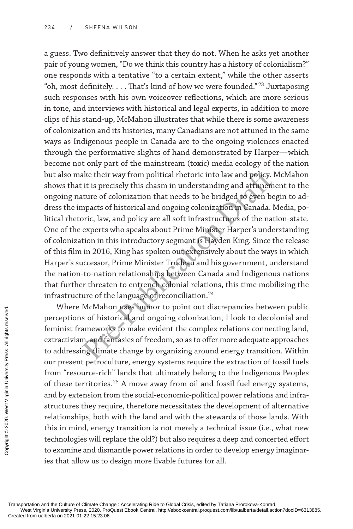ake their way from political rhetoric into law and policy. I<br>it is precisely this chasm in understanding and attunem<br>ture of colonization that needs to be bridged to even be<br>mpacts of historical and ongoing colonization in a guess. Two definitively answer that they do not. When he asks yet another pair of young women, "Do we think this country has a history of colonialism?" one responds with a tentative "to a certain extent," while the other asserts "oh, most definitely. . . . That's kind of how we were founded." <sup>23</sup> Juxtaposing such responses with his own voiceover reflections, which are more serious in tone, and interviews with historical and legal experts, in addition to more clips of his stand-up, McMahon illustrates that while there is some awareness of colonization and its histories, many Canadians are not attuned in the same ways as Indigenous people in Canada are to the ongoing violences enacted through the performative slights of hand demonstrated by Harper—which become not only part of the mainstream (toxic) media ecology of the nation but also make their way from political rhetoric into law and policy. McMahon shows that it is precisely this chasm in understanding and attunement to the ongoing nature of colonization that needs to be bridged to even begin to address the impacts of historical and ongoing colonization in Canada. Media, political rhetoric, law, and policy are all soft infrastructures of the nation-state. One of the experts who speaks about Prime Minister Harper's understanding of colonization in this introductory segment is Hayden King. Since the release of this film in 2016, King has spoken out extensively about the ways in which Harper's successor, Prime Minister Trudeau and his government, understand the nation-to-nation relationships between Canada and Indigenous nations that further threaten to entrench colonial relations, this time mobilizing the infrastructure of the language of reconciliation.<sup>24</sup>

Where McMahon uses humor to point out discrepancies between public perceptions of historical and ongoing colonization, I look to decolonial and feminist frameworks to make evident the complex relations connecting land, extractivism, and fantasies of freedom, so as to offer more adequate approaches to addressing climate change by organizing around energy transition. Within our present petroculture, energy systems require the extraction of fossil fuels from "resource-rich" lands that ultimately belong to the Indigenous Peoples of these territories. <sup>25</sup> A move away from oil and fossil fuel energy systems, and by extension from the social-economic-political power relations and infrastructures they require, therefore necessitates the development of alternative relationships, both with the land and with the stewards of those lands. With this in mind, energy transition is not merely a technical issue (i.e., what new technologies will replace the old?) but also requires a deep and concerted effort to examine and dismantle power relations in order to develop energy imaginaries that allow us to design more livable futures for all. Where McMant<br>
perceptions of hist<br>
feminist framework<br>
extractivism, and fa<br>
to addressing clima<br>
our present petrocu<br>
from "resource-rich<br>
of these territories<br>
and by extension from<br>
structures they requ<br>
relationships,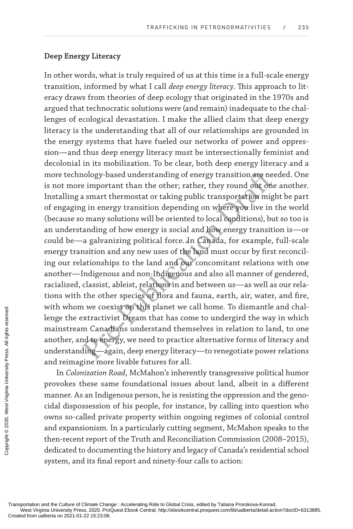#### **Deep Energy Literacy**

nology-based understanding of energy transition are nee<br>e important than the other; rather, they round out one<br>a smart thermostat or taking public transportation mig<br>g in energy transition depending on where you live in<br>b In other words, what is truly required of us at this time is a full-scale energy transition, informed by what I call *deep energy literacy*. This approach to literacy draws from theories of deep ecology that originated in the 1970s and argued that technocratic solutions were (and remain) inadequate to the challenges of ecological devastation. I make the allied claim that deep energy literacy is the understanding that all of our relationships are grounded in the energy systems that have fueled our networks of power and oppression—and thus deep energy literacy must be intersectionally feminist and decolonial in its mobilization. To be clear, both deep energy literacy and a more technology-based understanding of energy transition are needed. One is not more important than the other; rather, they round out one another. Installing a smart thermostat or taking public transportation might be part of engaging in energy transition depending on where you live in the world (because so many solutions will be oriented to local conditions), but so too is an understanding of how energy is social and how energy transition is—or could be—a galvanizing political force. In Canada, for example, full-scale energy transition and any new uses of the land must occur by first reconciling our relationships to the land and our concomitant relations with one another—Indigenous and non-Indigenous and also all manner of gendered, racialized, classist, ableist, relations in and between us—as well as our relations with the other species of flora and fauna, earth, air, water, and fire, with whom we coexist on this planet we call home. To dismantle and challenge the extractivist Dream that has come to undergird the way in which mainstream Canadians understand themselves in relation to land, to one another, and to energy, we need to practice alternative forms of literacy and understanding—again, deep energy literacy—to renegotiate power relations and reimagine more livable futures for all.

In *Colonization Road*, McMahon's inherently transgressive political humor provokes these same foundational issues about land, albeit in a different manner. As an Indigenous person, he is resisting the oppression and the genocidal dispossession of his people, for instance, by calling into question who owns so-called private property within ongoing regimes of colonial control and expansionism. In a particularly cutting segment, McMahon speaks to the then-recent report of the Truth and Reconciliation Commission (2008–2015), dedicated to documenting the history and legacy of Canada's residential school system, and its final report and ninety-four calls to action: WILN WHOM WE COE.<br>
lenge the extractive<br>
mainstream Canad<br>
another, and to ene<br>
understanding—ag<br>
and reimagine mor<br>
In Colonization I<br>
provokes these sar<br>
manner. As an Indig<br>
cidal dispossession<br>
owns so-called priv<br>
and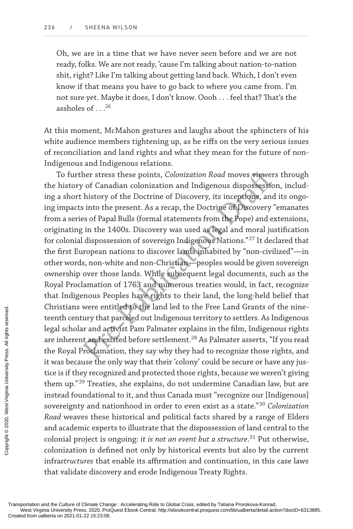Oh, we are in a time that we have never seen before and we are not ready, folks. We are not ready, 'cause I'm talking about nation-to-nation shit, right? Like I'm talking about getting land back. Which, I don't even know if that means you have to go back to where you came from. I'm not sure yet. Maybe it does, I don't know. Oooh . . . feel that? That's the assholes of . . .<sup>26</sup>

At this moment, McMahon gestures and laughs about the sphincters of his white audience members tightening up, as he riffs on the very serious issues of reconciliation and land rights and what they mean for the future of non-Indigenous and Indigenous relations.

her stress these points, *Colonization Road* moves viewer.<br> *v* of Canadian colonization and Indigenous dispossessio<br>
history of the Doctrine of Discovery, its inceptions, and<br>
si nto the present. As a recap, the Doctrine To further stress these points, *Colonization Road* moves viewers through the history of Canadian colonization and Indigenous dispossession, including a short history of the Doctrine of Discovery, its inceptions, and its ongoing impacts into the present. As a recap, the Doctrine of Discovery "emanates from a series of Papal Bulls (formal statements from the Pope) and extensions, originating in the 1400s. Discovery was used as legal and moral justification for colonial dispossession of sovereign Indigenous Nations." <sup>27</sup> It declared that the first European nations to discover lands inhabited by "non-civilized"—in other words, non-white and non-Christian—peoples would be given sovereign ownership over those lands. While subsequent legal documents, such as the Royal Proclamation of 1763 and numerous treaties would, in fact, recognize that Indigenous Peoples have rights to their land, the long-held belief that Christians were entitled to the land led to the Free Land Grants of the nineteenth century that parceled out Indigenous territory to settlers. As Indigenous legal scholar and activist Pam Palmater explains in the film, Indigenous rights are inherent and existed before settlement. <sup>28</sup> As Palmater asserts, "If you read the Royal Proclamation, they say why they had to recognize those rights, and it was because the only way that their 'colony' could be secure or have any justice is if they recognized and protected those rights, because we weren't giving them up."<sup>29</sup> Treaties, she explains, do not undermine Canadian law, but are instead foundational to it, and thus Canada must "recognize our [Indigenous] sovereignty and nationhood in order to even exist as a state." <sup>30</sup> *Colonization Road* weaves these historical and political facts shared by a range of Elders and academic experts to illustrate that the dispossession of land central to the colonial project is ongoing: *it is not an event but a structure*. <sup>31</sup> Put otherwise, colonization is defined not only by historical events but also by the current infra*structures* that enable its affirmation and continuation, in this case laws that validate discovery and erode Indigenous Treaty Rights. Crimistians were entimed and according the legal scholar and according the Royal Proclama<br>
it was because the correct and extractive is if they recogn<br>
them up."<sup>29</sup> Treatie instead foundations<br>
sovereignty and na Road wea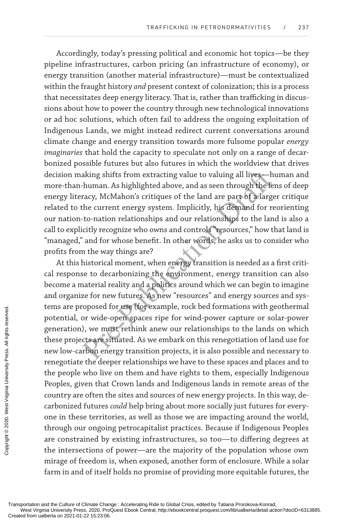Accordingly, today's pressing political and economic hot topics—be they pipeline infrastructures, carbon pricing (an infrastructure of economy), or energy transition (another material infrastructure)—must be contextualized within the fraught history *and* present context of colonization; this is a process that necessitates deep energy literacy. That is, rather than trafficking in discussions about how to power the country through new technological innovations or ad hoc solutions, which often fail to address the ongoing exploitation of Indigenous Lands, we might instead redirect current conversations around climate change and energy transition towards more fulsome popular *energy imaginaries* that hold the capacity to speculate not only on a range of decarbonized possible futures but also futures in which the worldview that drives decision making shifts from extracting value to valuing all lives—human and more-than-human. As highlighted above, and as seen through the lens of deep energy literacy, McMahon's critiques of the land are part of a larger critique related to the current energy system. Implicitly, his demand for reorienting our nation-to-nation relationships and our relationships to the land is also a call to explicitly recognize who owns and controls "resources," how that land is "managed," and for whose benefit. In other words, he asks us to consider who profits from the way things are?

aking shifts from extracting value to valuing all lives—h<br>human. As highlighted above, and as seen through the len<br>racy, McMahon's critiques of the land are part of a large<br>the current energy system. Implicitly, his demand At this historical moment, when energy transition is needed as a first critical response to decarbonizing the environment, energy transition can also become a material reality and a politics around which we can begin to imagine and organize for new futures. As new "resources" and energy sources and systems are proposed for use (for example, rock bed formations with geothermal potential, or wide-open spaces ripe for wind-power capture or solar-power generation), we must rethink anew our relationships to the lands on which these projects are situated. As we embark on this renegotiation of land use for new low-carbon energy transition projects, it is also possible and necessary to renegotiate the deeper relationships we have to these spaces and places and to the people who live on them and have rights to them, especially Indigenous Peoples, given that Crown lands and Indigenous lands in remote areas of the country are often the sites and sources of new energy projects. In this way, decarbonized futures *could* help bring about more socially just futures for everyone in these territories, as well as those we are impacting around the world, through our ongoing petrocapitalist practices. Because if Indigenous Peoples are constrained by existing infrastructures, so too—to differing degrees at the intersections of power—are the majority of the population whose own mirage of freedom is, when exposed, another form of enclosure. While a solar farm in and of itself holds no promise of providing more equitable futures, the Erents are proposed in<br>
potential, or wide-<br>
generation), we mut<br>
these projects are since<br>
remegotiate the deer<br>
the people who live<br>
Peoples, given that<br>
country are often the<br>
carbonized futures<br>
one in these territo<br>
t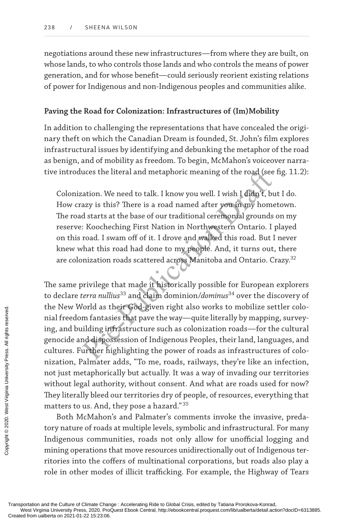negotiations around these new infrastructures—from where they are built, on whose lands, to who controls those lands and who controls the means of power generation, and for whose benefit—could seriously reorient existing relations of power for Indigenous and non-Indigenous peoples and communities alike.

#### **Paving the Road for Colonization: Infrastructures of (Im)Mobility**

In addition to challenging the representations that have concealed the originary theft on which the Canadian Dream is founded, St. John's film explores infrastructural issues by identifying and debunking the metaphor of the road as benign, and of mobility as freedom. To begin, McMahon's voiceover narrative introduces the literal and metaphoric meaning of the road (see fig. 11.2):

Colonization. We need to talk. I know you well. I wish I didn't, but I do. How crazy is this? There is a road named after you in my hometown. The road starts at the base of our traditional ceremonial grounds on my reserve: Koocheching First Nation in Northwestern Ontario. I played on this road. I swam off of it. I drove and walked this road. But I never knew what this road had done to my people. And, it turns out, there are colonization roads scattered across Manitoba and Ontario. Crazy. 32

uces the literal and metaphoric meaning of the road (see<br>aation. We need to talk. I know you well. I wish I didn't, bu<br>azy is this? There is a road named after you in my home<br>d starts at the base of our traditional ceremon The same privilege that made it historically possible for European explorers to declare *terra nullius* <sup>33</sup> and claim dominion/*dominus* <sup>34</sup> over the discovery of the New World as their God-given right also works to mobilize settler colonial freedom fantasies that pave the way—quite literally by mapping, surveying, and building infrastructure such as colonization roads—for the cultural genocide and dispossession of Indigenous Peoples, their land, languages, and cultures. Further highlighting the power of roads as infrastructures of colonization, Palmater adds, "To me, roads, railways, they're like an infection, not just metaphorically but actually. It was a way of invading our territories without legal authority, without consent. And what are roads used for now? They literally bleed our territories dry of people, of resources, everything that matters to us. And, they pose a hazard." 35 Transportation and the Culture of Climate Character Created from ualberta on 2021-01-22 15:23:06. Coptated from ualberta on 2021-01-22 15:23:06. Proceded from ualberta on 2021-01-22 15:23:06. Proceded from ualberta on 2021

Both McMahon's and Palmater's comments invoke the invasive, predatory nature of roads at multiple levels, symbolic and infrastructural. For many Indigenous communities, roads not only allow for unofficial logging and mining operations that move resources unidirectionally out of Indigenous territories into the coffers of multinational corporations, but roads also play a role in other modes of illicit trafficking. For example, the Highway of Tears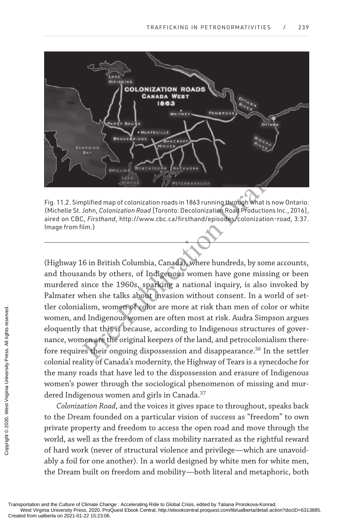

fig. 11.2. simplified map of colonization roads in 1863 running through what is now ontario. (Michelle St. John, *Colonization Road* [Toronto: Decolonization Road Productions Inc., 2016], aired on CBC, *Firsthand*, http://www.cbc.ca/firsthand/episodes/colonization-road, 3:37. Image from film.)

Pre-<br>
Antes Chinage Maria and an 1863 running through What is n<br>
John, *Colonization Road* [Toronto: Decolonization Road Productions<br>
7. *Firsthand*, http://www.cbc.ca/firsthand/episodes/colonization-<br>
ilm.)<br> **Example 1960** (Highway 16 in British Columbia, Canada), where hundreds, by some accounts, and thousands by others, of Indigenous women have gone missing or been murdered since the 1960s, sparking a national inquiry, is also invoked by Palmater when she talks about invasion without consent. In a world of settler colonialism, women of color are more at risk than men of color or white women, and Indigenous women are often most at risk. Audra Simpson argues eloquently that this is because, according to Indigenous structures of governance, women are the original keepers of the land, and petrocolonialism therefore requires their ongoing dispossession and disappearance. <sup>36</sup> In the settler colonial reality of Canada's modernity, the Highway of Tears is a synecdoche for the many roads that have led to the dispossession and erasure of Indigenous women's power through the sociological phenomenon of missing and murdered Indigenous women and girls in Canada. 37 Transportation and the Culture of Climate Characterial Transportation and the Culture of Climate Characterial Constant Characterial Constant Characterial Constant Characterial Constant Characterial Constant Characterial Co

*Colonization Road*, and the voices it gives space to throughout, speaks back to the Dream founded on a particular vision of success as "freedom" to own private property and freedom to access the open road and move through the world, as well as the freedom of class mobility narrated as the rightful reward of hard work (never of structural violence and privilege—which are unavoidably a foil for one another). In a world designed by white men for white men, the Dream built on freedom and mobility—both literal and metaphoric, both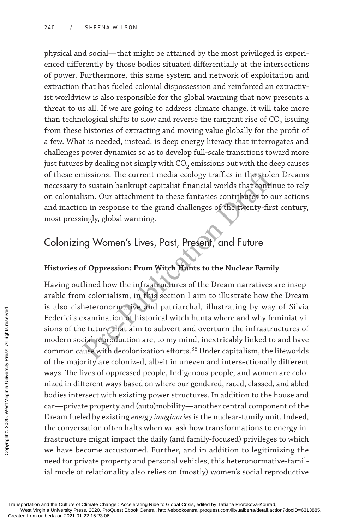physical and social—that might be attained by the most privileged is experienced differently by those bodies situated differentially at the intersections of power. Furthermore, this same system and network of exploitation and extraction that has fueled colonial dispossession and reinforced an extractivist worldview is also responsible for the global warming that now presents a threat to us all. If we are going to address climate change, it will take more than technological shifts to slow and reverse the rampant rise of  $\mathrm{CO}_2$  issuing from these histories of extracting and moving value globally for the profit of a few. What is needed, instead, is deep energy literacy that interrogates and challenges power dynamics so as to develop full-scale transitions toward more just futures by dealing not simply with CO<sub>2</sub> emissions but with the deep causes of these emissions. The current media ecology traffics in the stolen Dreams necessary to sustain bankrupt capitalist financial worlds that continue to rely on colonialism. Our attachment to these fantasies contributes to our actions and inaction in response to the grand challenges of the twenty-first century, most pressingly, global warming.

# Colonizing Women's Lives, Past, Present, and Future

## **Histories of Oppression: From Witch Hunts to the Nuclear Family**

missions. The current media ecology traffics in the stole<br>co sustain bankrupt capitalist financial worlds that contin<br>ism. Our attachment to these fantasies contributes to oo<br>n in response to the grand challenges of the tw Having outlined how the infrastructures of the Dream narratives are inseparable from colonialism, in this section I aim to illustrate how the Dream is also cisheteronormative and patriarchal, illustrating by way of Silvia Federici's examination of historical witch hunts where and why feminist visions of the future that aim to subvert and overturn the infrastructures of modern social reproduction are, to my mind, inextricably linked to and have common cause with decolonization efforts. <sup>38</sup> Under capitalism, the lifeworlds of the majority are colonized, albeit in uneven and intersectionally different ways. The lives of oppressed people, Indigenous people, and women are colonized in different ways based on where our gendered, raced, classed, and abled bodies intersect with existing power structures. In addition to the house and car—private property and (auto)mobility—another central component of the Dream fueled by existing *energy imaginaries*is the nuclear-family unit. Indeed, the conversation often halts when we ask how transformations to energy infrastructure might impact the daily (and family-focused) privileges to which we have become accustomed. Further, and in addition to legitimizing the need for private property and personal vehicles, this heteronormative-familial mode of relationality also relies on (mostly) women's social reproductive Transportation and the Culture of Climate Character of Created from ualberta on 2021-01-22 15:23:06. Created from ualberta on 2021-01-22 15:23:06. Procented from ualberta on 2021-01-22 15:23:06. Procented from ualberta on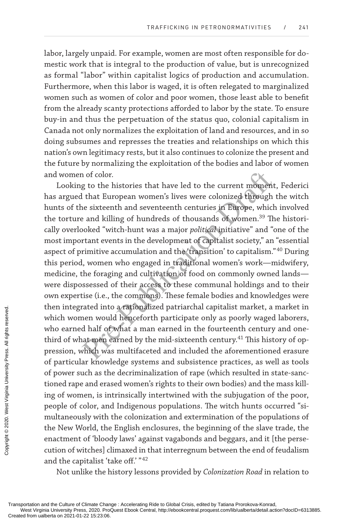labor, largely unpaid. For example, women are most often responsible for domestic work that is integral to the production of value, but is unrecognized as formal "labor" within capitalist logics of production and accumulation. Furthermore, when this labor is waged, it is often relegated to marginalized women such as women of color and poor women, those least able to benefit from the already scanty protections afforded to labor by the state. To ensure buy-in and thus the perpetuation of the status quo, colonial capitalism in Canada not only normalizes the exploitation of land and resources, and in so doing subsumes and represses the treaties and relationships on which this nation's own legitimacy rests, but it also continues to colonize the present and the future by normalizing the exploitation of the bodies and labor of women and women of color.

n of color.<br>
g to the histories that have led to the current moment<br>
l that European women's lives were colonized through<br>
e sixteenth and seventeenth centuries in Europe, which<br>
e and killing of hundreds of thousands of w Looking to the histories that have led to the current moment, Federici has argued that European women's lives were colonized through the witch hunts of the sixteenth and seventeenth centuries in Europe, which involved the torture and killing of hundreds of thousands of women.<sup>39</sup> The historically overlooked "witch-hunt was a major *political* initiative" and "one of the most important events in the development of capitalist society," an "essential aspect of primitive accumulation and the 'transition' to capitalism."<sup>40</sup> During this period, women who engaged in traditional women's work—midwifery, medicine, the foraging and cultivation of food on commonly owned lands were dispossessed of their access to these communal holdings and to their own expertise (i.e., the commons). These female bodies and knowledges were then integrated into a rationalized patriarchal capitalist market, a market in which women would henceforth participate only as poorly waged laborers, who earned half of what a man earned in the fourteenth century and onethird of what men earned by the mid-sixteenth century.<sup>41</sup> This history of oppression, which was multifaceted and included the aforementioned erasure of particular knowledge systems and subsistence practices, as well as tools of power such as the decriminalization of rape (which resulted in state-sanctioned rape and erased women's rights to their own bodies) and the mass killing of women, is intrinsically intertwined with the subjugation of the poor, people of color, and Indigenous populations. The witch hunts occurred "simultaneously with the colonization and extermination of the populations of the New World, the English enclosures, the beginning of the slave trade, the enactment of 'bloody laws' against vagabonds and beggars, and it [the persecution of witches] climaxed in that interregnum between the end of feudalism and the capitalist 'take off.' "<sup>42</sup> Transportation and the Culture of Climate Characterial reserved.<br>
The Created from ualberta on 2021-01-22 15:23:06. Copyrighta for university Press. All rights of power such as the tioned rape and era<br>
importance and era i

Not unlike the history lessons provided by *Colonization Road* in relation to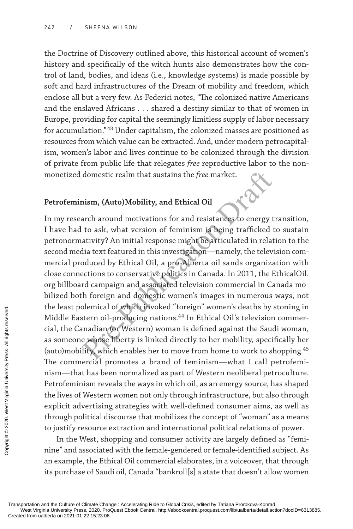the Doctrine of Discovery outlined above, this historical account of women's history and specifically of the witch hunts also demonstrates how the control of land, bodies, and ideas (i.e., knowledge systems) is made possible by soft and hard infrastructures of the Dream of mobility and freedom, which enclose all but a very few. As Federici notes, "The colonized native Americans and the enslaved Africans . . . shared a destiny similar to that of women in Europe, providing for capital the seemingly limitless supply of labor necessary for accumulation." <sup>43</sup> Under capitalism, the colonized masses are positioned as resources from which value can be extracted. And, under modern petrocapitalism, women's labor and lives continue to be colonized through the division of private from public life that relegates *free* reproductive labor to the nonmonetized domestic realm that sustains the *free* market.

#### **Petrofeminism, (Auto)Mobility, and Ethical Oil**

domestic realm that sustains the *free* market.<br>
nism, (Auto)Mobility, and Ethical Oil<br>
arch around motivations for and resistances to energy t<br>
to ask, what version of feminism is being trafficked t<br>
ativity? An initial r In my research around motivations for and resistances to energy transition, I have had to ask, what version of feminism is being trafficked to sustain petronormativity? An initial response might be articulated in relation to the second media text featured in this investigation—namely, the television commercial produced by Ethical Oil, a pro-Alberta oil sands organization with close connections to conservative politics in Canada. In 2011, the EthicalOil. org billboard campaign and associated television commercial in Canada mobilized both foreign and domestic women's images in numerous ways, not the least polemical of which invoked "foreign" women's deaths by stoning in Middle Eastern oil-producing nations. 44 In Ethical Oil's television commercial, the Canadian (or Western) woman is defined against the Saudi woman, as someone whose liberty is linked directly to her mobility, specifically her (auto)mobility, which enables her to move from home to work to shopping. 45 The commercial promotes a brand of feminism—what I call petrofeminism—that has been normalized as part of Western neoliberal petroculture. Petrofeminism reveals the ways in which oil, as an energy source, has shaped the lives of Western women not only through infrastructure, but also through explicit advertising strategies with well-defined consumer aims, as well as through political discourse that mobilizes the concept of "woman" as a means to justify resource extraction and international political relations of power. Transportation and the Culture of Climate Character Created from ualberta on 2021-01-22 15:23:06. Coreated from ualberta on 2021-01-22 15:23:06. Press. 2020. Proceded from ualberta on 2021-01-22 15:23:06.

In the West, shopping and consumer activity are largely defined as "feminine" and associated with the female-gendered or female-identified subject. As an example, the Ethical Oil commercial elaborates, in a voiceover, that through its purchase of Saudi oil, Canada "bankroll[s] a state that doesn't allow women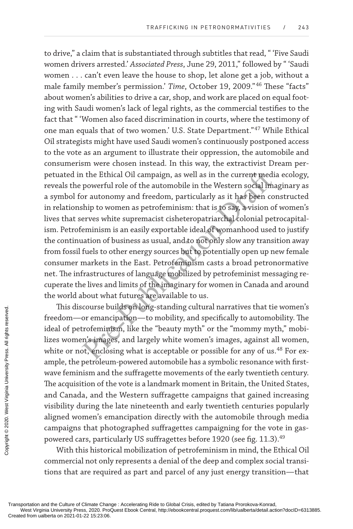is the Ethical Oil campaign, as well as in the current medi<br>powerful role of the automobile in the Western social imate<br>powerful role of the automobile in the Western social imate<br>provided in the Western social imate<br>pre-c to drive," a claim that is substantiated through subtitles that read, " 'Five Saudi women drivers arrested.' *Associated Press*, June 29, 2011," followed by " 'Saudi women . . . can't even leave the house to shop, let alone get a job, without a male family member's permission.' *Time*, October 19, 2009." <sup>46</sup> These "facts" about women's abilities to drive a car, shop, and work are placed on equal footing with Saudi women's lack of legal rights, as the commercial testifies to the fact that " 'Women also faced discrimination in courts, where the testimony of one man equals that of two women.' U.S. State Department." <sup>47</sup> While Ethical Oil strategists might have used Saudi women's continuously postponed access to the vote as an argument to illustrate their oppression, the automobile and consumerism were chosen instead. In this way, the extractivist Dream perpetuated in the Ethical Oil campaign, as well as in the current media ecology, reveals the powerful role of the automobile in the Western social imaginary as a symbol for autonomy and freedom, particularly as it has been constructed in relationship to women as petrofeminism: that is to say, a vision of women's lives that serves white supremacist cisheteropatriarchal colonial petrocapitalism. Petrofeminism is an easily exportable ideal of womanhood used to justify the continuation of business as usual, and to not only slow any transition away from fossil fuels to other energy sources but to potentially open up new female consumer markets in the East. Petrofeminism casts a broad petronormative net. The infrastructures of language mobilized by petrofeminist messaging recuperate the lives and limits of the imaginary for women in Canada and around the world about what futures are available to us.

This discourse builds on long-standing cultural narratives that tie women's freedom—or emancipation—to mobility, and specifically to automobility. The ideal of petrofeminism, like the "beauty myth" or the "mommy myth," mobilizes women's images, and largely white women's images, against all women, white or not, enclosing what is acceptable or possible for any of us.<sup>48</sup> For example, the petroleum-powered automobile has a symbolic resonance with firstwave feminism and the suffragette movements of the early twentieth century. The acquisition of the vote is a landmark moment in Britain, the United States, and Canada, and the Western suffragette campaigns that gained increasing visibility during the late nineteenth and early twentieth centuries popularly aligned women's emancipation directly with the automobile through media campaigns that photographed suffragettes campaigning for the vote in gaspowered cars, particularly US suffragettes before 1920 (see fig. 11.3).<sup>49</sup> Transportation and the Culture of Climate Characterial Created from ualberta on 2021-01-22 15:23:06. Coptated from ualberta on 2021-01-22 15:23:06. Proceding the Copyright Characterian Created from ualberta on 2021-01-22 1

With this historical mobilization of petrofeminism in mind, the Ethical Oil commercial not only represents a denial of the deep and complex social transitions that are required as part and parcel of any just energy transition—that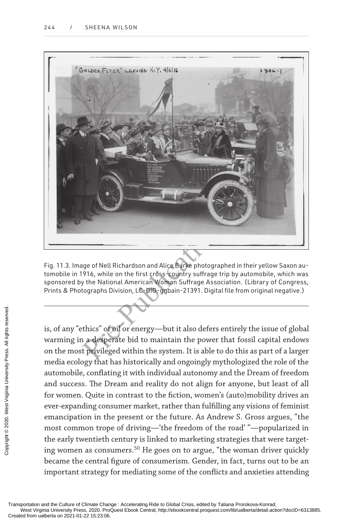

Fig. 11.3. Image of Nell Richardson and Alice Burke photographed in their yellow Saxon automobile in 1916, while on the first cross-country suffrage trip by automobile, which was sponsored by the National American Woman Suffrage Association. (Library of Congress, Prints & Photographs Division, LC-DIG-ggbain-21391. Digital file from original negative.)

is, of any "ethics" of oil or energy—but it also defers entirely the issue of global warming in a desperate bid to maintain the power that fossil capital endows on the most privileged within the system. It is able to do this as part of a larger media ecology that has historically and ongoingly mythologized the role of the automobile, conflating it with individual autonomy and the Dream of freedom and success. The Dream and reality do not align for anyone, but least of all for women. Quite in contrast to the fiction, women's (auto)mobility drives an ever-expanding consumer market, rather than fulfilling any visions of feminist emancipation in the present or the future. As Andrew S. Gross argues, "the most common trope of driving—'the freedom of the road' "—popularized in the early twentieth century is linked to marketing strategies that were targeting women as consumers. <sup>50</sup> He goes on to argue, "the woman driver quickly became the central figure of consumerism. Gender, in fact, turns out to be an important strategy for mediating some of the conflicts and anxieties attending Exercise<br>
Exercise on the most privileg<br>
created for warming in a despe<br>
on the most privileg<br>
media ecology that<br>
automobile, conflat<br>
and success. The D<br>
for women. Quite in<br>
ever-expanding con<br>
emancipation in th<br>
most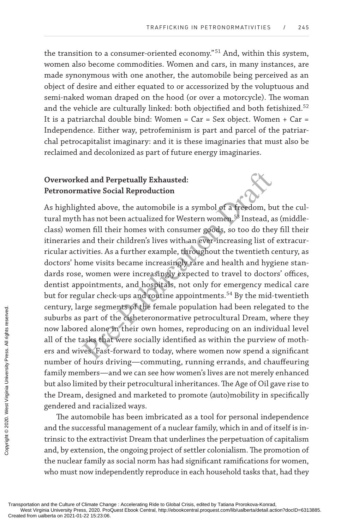the transition to a consumer-oriented economy." <sup>51</sup> And, within this system, women also become commodities. Women and cars, in many instances, are made synonymous with one another, the automobile being perceived as an object of desire and either equated to or accessorized by the voluptuous and semi-naked woman draped on the hood (or over a motorcycle). The woman and the vehicle are culturally linked: both objectified and both fetishized.<sup>52</sup> It is a patriarchal double bind: Women =  $Car = Sex$  object. Women +  $Car =$ Independence. Either way, petrofeminism is part and parcel of the patriarchal petrocapitalist imaginary: and it is these imaginaries that must also be reclaimed and decolonized as part of future energy imaginaries.

## **Overworked and Perpetually Exhausted: Petronormative Social Reproduction**

ed and Perpetually Exhausted:<br>
ative Social Reproduction<br>
thed above, the automobile is a symbol of a freedom, bu<br>
has not been actualized for Western women.<sup>58</sup> Instead, a<br>
een fill their homes with consumer goods, so too As highlighted above, the automobile is a symbol of a freedom, but the cultural myth has not been actualized for Western women. 53 Instead, as (middleclass) women fill their homes with consumer goods, so too do they fill their itineraries and their children's lives with an ever-increasing list of extracurricular activities. As a further example, throughout the twentieth century, as doctors' home visits became increasingly rare and health and hygiene standards rose, women were increasingly expected to travel to doctors' offices, dentist appointments, and hospitals, not only for emergency medical care but for regular check-ups and routine appointments. <sup>54</sup> By the mid-twentieth century, large segments of the female population had been relegated to the suburbs as part of the cisheteronormative petrocultural Dream, where they now labored alone in their own homes, reproducing on an individual level all of the tasks that were socially identified as within the purview of mothers and wives. Fast-forward to today, where women now spend a significant number of hours driving—commuting, running errands, and chauffeuring family members—and we can see how women's lives are not merely enhanced but also limited by their petrocultural inheritances. The Age of Oil gave rise to the Dream, designed and marketed to promote (auto)mobility in specifically gendered and racialized ways. Century, targe segnt<br>suburbs as part of 1<br>now labored alone<br>all of the tasks tha<br>ers and wives. Fast<br>mumber of hours d<br>family members—a<br>but also limited by t<br>the Dream, designe<br>gendered and racial<br>memobile<br>and the successf

The automobile has been imbricated as a tool for personal independence and the successful management of a nuclear family, which in and of itself is intrinsic to the extractivist Dream that underlines the perpetuation of capitalism and, by extension, the ongoing project of settler colonialism. The promotion of the nuclear family as social norm has had significant ramifications for women, who must now independently reproduce in each household tasks that, had they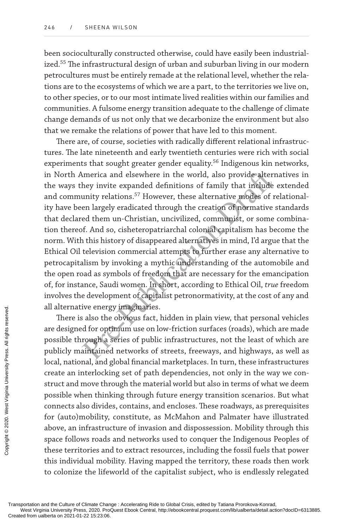been socioculturally constructed otherwise, could have easily been industrialized.<sup>55</sup> The infrastructural design of urban and suburban living in our modern petrocultures must be entirely remade at the relational level, whether the relations are to the ecosystems of which we are a part, to the territories we live on, to other species, or to our most intimate lived realities within our families and communities. A fulsome energy transition adequate to the challenge of climate change demands of us not only that we decarbonize the environment but also that we remake the relations of power that have led to this moment.

America and elsewhere in the world, also provide altern<br>hey invite expanded definitions of family that include<br>unity relations.<sup>57</sup> However, these alternative modes of r<br>en largely eradicated through the creation of normat There are, of course, societies with radically different relational infrastructures. The late nineteenth and early twentieth centuries were rich with social experiments that sought greater gender equality. <sup>56</sup> Indigenous kin networks, in North America and elsewhere in the world, also provide alternatives in the ways they invite expanded definitions of family that include extended and community relations. 57 However, these alternative modes of relationality have been largely eradicated through the creation of normative standards that declared them un-Christian, uncivilized, communist, or some combination thereof. And so, cisheteropatriarchal colonial capitalism has become the norm. With this history of disappeared alternatives in mind, I'd argue that the Ethical Oil television commercial attempts to further erase any alternative to petrocapitalism by invoking a mythic understanding of the automobile and the open road as symbols of freedom that are necessary for the emancipation of, for instance, Saudi women. In short, according to Ethical Oil, *true* freedom involves the development of capitalist petronormativity, at the cost of any and all alternative energy imaginaries.

There is also the obvious fact, hidden in plain view, that personal vehicles are designed for optimum use on low-friction surfaces (roads), which are made possible through a series of public infrastructures, not the least of which are publicly maintained networks of streets, freeways, and highways, as well as local, national, and global financial marketplaces. In turn, these infrastructures create an interlocking set of path dependencies, not only in the way we construct and move through the material world but also in terms of what we deem possible when thinking through future energy transition scenarios. But what connects also divides, contains, and encloses. These roadways, as prerequisites for (auto)mobility, constitute, as McMahon and Palmater have illustrated above, an infrastructure of invasion and dispossession. Mobility through this space follows roads and networks used to conquer the Indigenous Peoples of these territories and to extract resources, including the fossil fuels that power this individual mobility. Having mapped the territory, these roads then work to colonize the lifeworld of the capitalist subject, who is endlessly relegated Transportation and the Culture of Climate Character or west Virginia University Press. 2020. Proceded from ualberta on 2021-01-22 15:23:06. Copta Created from ualberta on 2021-01-22 15:23:06. Proceded from ualberta on 2021

Transportation and the Culture of Climate Change : Accelerating Ride to Global Crisis, edited by Tatiana Prorokova-Konrad,

West Virginia University Press, 2020. ProQuest Ebook Central, http://ebookcentral.proquest.com/lib/ualberta/detail.action?docID=6313885.<br>Created from ualberta on 2021-01-22 15:23:06.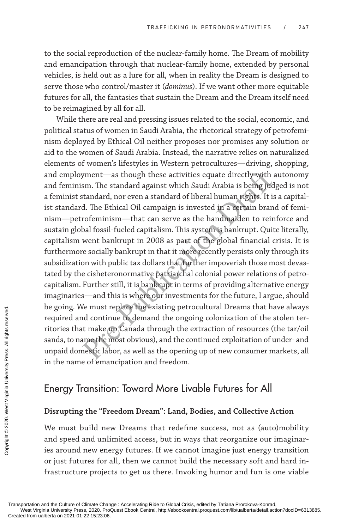to the social reproduction of the nuclear-family home. The Dream of mobility and emancipation through that nuclear-family home, extended by personal vehicles, is held out as a lure for all, when in reality the Dream is designed to serve those who control/master it (*dominus*). If we want other more equitable futures for all, the fantasies that sustain the Dream and the Dream itself need to be reimagined by all for all.

yment—as though these activities equate directly with a<br>sm. The standard against which Saudi Arabia is being jud<br>standard, nor even a standard of liberal human rights. It is<br>d. The Ethical Oil campaign is invested in a cer While there are real and pressing issues related to the social, economic, and political status of women in Saudi Arabia, the rhetorical strategy of petrofeminism deployed by Ethical Oil neither proposes nor promises any solution or aid to the women of Saudi Arabia. Instead, the narrative relies on naturalized elements of women's lifestyles in Western petrocultures—driving, shopping, and employment—as though these activities equate directly with autonomy and feminism. The standard against which Saudi Arabia is being judged is not a feminist standard, nor even a standard of liberal human rights. It is a capitalist standard. The Ethical Oil campaign is invested in a certain brand of feminism—petrofeminism—that can serve as the handmaiden to reinforce and sustain global fossil-fueled capitalism. This system is bankrupt. Quite literally, capitalism went bankrupt in 2008 as part of the global financial crisis. It is furthermore socially bankrupt in that it more recently persists only through its subsidization with public tax dollars that further impoverish those most devastated by the cisheteronormative patriarchal colonial power relations of petrocapitalism. Further still, it is bankrupt in terms of providing alternative energy imaginaries—and this is where our investments for the future, I argue, should be going. We must replace the existing petrocultural Dreams that have always required and continue to demand the ongoing colonization of the stolen territories that make up Canada through the extraction of resources (the tar/oil sands, to name the most obvious), and the continued exploitation of under- and unpaid domestic labor, as well as the opening up of new consumer markets, all in the name of emancipation and freedom. CREAT THE SUPER CREAT THE SUPER CREAT THE SUPER CREAT THE SUPER CREAT THE SUPER CREAT THE SUPER CREAT THE SUPER CREAT THE SUPER CREAT THE SUPER CREAT THE SUPER CREAT THE SUPER CREAT THE SUPER CREAT THE SUPER CREAT THE SUP

## Energy Transition: Toward More Livable Futures for All

#### **Disrupting the "Freedom Dream": Land, Bodies, and Collective Action**

We must build new Dreams that redefine success, not as (auto)mobility and speed and unlimited access, but in ways that reorganize our imaginaries around new energy futures. If we cannot imagine just energy transition or just futures for all, then we cannot build the necessary soft and hard infrastructure projects to get us there. Invoking humor and fun is one viable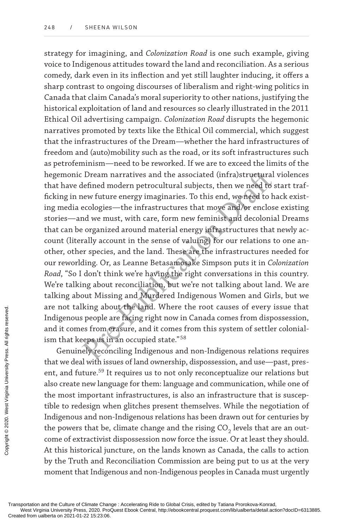Exam narratives and the associated (infra)structural<br>defined modern petrocultural subjects, then we need to s<br>new future energy imaginaries. To this end, we need to s<br>new future energy imaginaries. To this end, we need to strategy for imagining, and *Colonization Road* is one such example, giving voice to Indigenous attitudes toward the land and reconciliation. As a serious comedy, dark even in its inflection and yet still laughter inducing, it offers a sharp contrast to ongoing discourses of liberalism and right-wing politics in Canada that claim Canada's moral superiority to other nations, justifying the historical exploitation of land and resources so clearly illustrated in the 2011 Ethical Oil advertising campaign. *Colonization Road* disrupts the hegemonic narratives promoted by texts like the Ethical Oil commercial, which suggest that the infrastructures of the Dream—whether the hard infrastructures of freedom and (auto)mobility such as the road, or its soft infrastructures such as petrofeminism—need to be reworked. If we are to exceed the limits of the hegemonic Dream narratives and the associated (infra)structural violences that have defined modern petrocultural subjects, then we need to start trafficking in new future energy imaginaries. To this end, we need to hack existing media ecologies—the infrastructures that move and/or enclose existing stories—and we must, with care, form new feminist and decolonial Dreams that can be organized around material energy infrastructures that newly account (literally account in the sense of valuing) for our relations to one another, other species, and the land. These are the infrastructures needed for our reworlding. Or, as Leanne Betasamosake Simpson puts it in *Colonization Road*, "So I don't think we're having the right conversations in this country. We're talking about reconciliation, but we're not talking about land. We are talking about Missing and Murdered Indigenous Women and Girls, but we are not talking about the land. Where the root causes of every issue that Indigenous people are facing right now in Canada comes from dispossession, and it comes from erasure, and it comes from this system of settler colonialism that keeps us in an occupied state."  $^{58}$ 

Genuinely reconciling Indigenous and non-Indigenous relations requires that we deal with issues of land ownership, dispossession, and use—past, present, and future. <sup>59</sup> It requires us to not only reconceptualize our relations but also create new language for them: language and communication, while one of the most important infrastructures, is also an infrastructure that is susceptible to redesign when glitches present themselves. While the negotiation of Indigenous and non-Indigenous relations has been drawn out for centuries by the powers that be, climate change and the rising CO<sub>2</sub> levels that are an outcome of extractivist dispossession now force the issue. Or at least they should. At this historical juncture, on the lands known as Canada, the calls to action by the Truth and Reconciliation Commission are being put to us at the very moment that Indigenous and non-Indigenous peoples in Canada must urgently Exercise<br>
Exercise and it comes from exercise<br>
is and it comes from exercise<br>
is and it comes from the served.<br>
Exercise and the west with iss<br>
ent, and future.<sup>59</sup> It<br>
also create new lang<br>
the most importan<br>
tible to red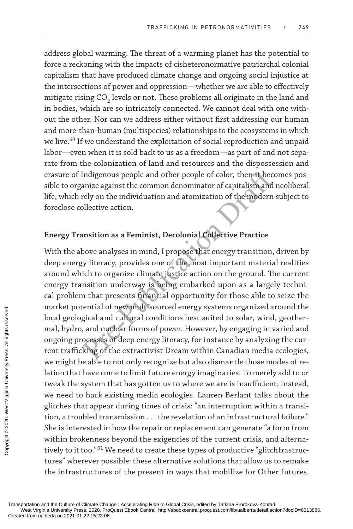address global warming. The threat of a warming planet has the potential to force a reckoning with the impacts of cisheteronormative patriarchal colonial capitalism that have produced climate change and ongoing social injustice at the intersections of power and oppression—whether we are able to effectively mitigate rising CO<sub>2</sub> levels or not. These problems all originate in the land and in bodies, which are so intricately connected. We cannot deal with one without the other. Nor can we address either without first addressing our human and more-than-human (multispecies) relationships to the ecosystems in which we live. <sup>60</sup> If we understand the exploitation of social reproduction and unpaid labor—even when it is sold back to us as a freedom—as part of and not separate from the colonization of land and resources and the dispossession and erasure of Indigenous people and other people of color, then it becomes possible to organize against the common denominator of capitalism and neoliberal life, which rely on the individuation and atomization of the modern subject to foreclose collective action.

## **Energy Transition as a Feminist, Decolonial Collective Practice**

Indigenous people and other people of color, then it becausize against the common denominator of capitalism and<br>rely on the individuation and atomization of the modern<br>pllective action.<br><br>ansition as a Feminist, Decolonial With the above analyses in mind, I propose that energy transition, driven by deep energy literacy, provides one of the most important material realities around which to organize climate justice action on the ground. The current energy transition underway is being embarked upon as a largely technical problem that presents financial opportunity for those able to seize the market potential of new multisourced energy systems organized around the local geological and cultural conditions best suited to solar, wind, geothermal, hydro, and nuclear forms of power. However, by engaging in varied and ongoing processes of deep energy literacy, for instance by analyzing the current trafficking of the extractivist Dream within Canadian media ecologies, we might be able to not only recognize but also dismantle those modes of relation that have come to limit future energy imaginaries. To merely add to or tweak the system that has gotten us to where we are is insufficient; instead, we need to hack existing media ecologies. Lauren Berlant talks about the glitches that appear during times of crisis: "an interruption within a transition, a troubled transmission . . . the revelation of an infrastructural failure." She is interested in how the repair or replacement can generate "a form from within brokenness beyond the exigencies of the current crisis, and alternatively to it too."<sup>61</sup> We need to create these types of productive "glitchfrastructures" wherever possible: these alternative solutions that allow us to remake the infrastructures of the present in ways that mobilize for Other futures. Transportation and the Culture of Climate Characterial Created from ualberta on 2021-01-22 15:23:06. Created from ualberta on 2021-01-22 15:23:06. Proceded from ualberta on 2021-01-22 15:23:06. Proceded from ualberta on 20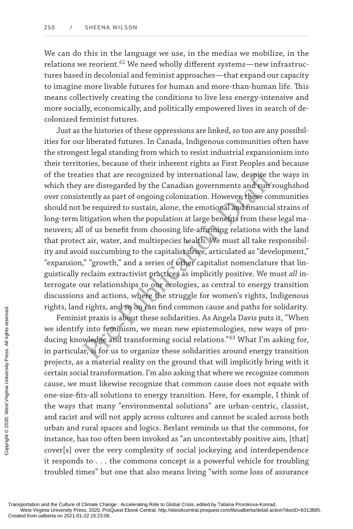We can do this in the language we use, in the medias we mobilize, in the relations we reorient.<sup>62</sup> We need wholly different systems—new infrastructures based in decolonial and feminist approaches—that expand our capacity to imagine more livable futures for human and more-than-human life. This means collectively creating the conditions to live less energy-intensive and more socially, economically, and politically empowered lives in search of decolonized feminist futures.

ties that are recognized by international law, despite the are disregarded by the Canadian governments and run r tently as part of ongoing colonization. However, these con be required to sustain, alone, the emotional and f Just as the histories of these oppressions are linked, so too are any possibilities for our liberated futures. In Canada, Indigenous communities often have the strongest legal standing from which to resist industrial expansionism into their territories, because of their inherent rights as First Peoples and because of the treaties that are recognized by international law, despite the ways in which they are disregarded by the Canadian governments and run roughshod over consistently as part of ongoing colonization. However, these communities should not be required to sustain, alone, the emotional and financial strains of long-term litigation when the population at large benefits from these legal maneuvers; all of us benefit from choosing life-affirming relations with the land that protect air, water, and multispecies health. We must all take responsibility and avoid succumbing to the capitalist drive, articulated as "development," "expansion," "growth," and a series of other capitalist nomenclature that linguistically reclaim extractivist practices as implicitly positive. We must *all* interrogate our relationships to our ecologies, as central to energy transition discussions and actions, where the struggle for women's rights, Indigenous rights, land rights, and so on can find common cause and paths for solidarity.

Feminist praxis is about these solidarities. As Angela Davis puts it, "When we identify into feminism, we mean new epistemologies, new ways of producing knowledge and transforming social relations." <sup>63</sup> What I'm asking for, in particular, is for us to organize these solidarities around energy transition projects, as a material reality on the ground that will implicitly bring with it certain social transformation. I'm also asking that where we recognize common cause, we must likewise recognize that common cause does not equate with one-size-fits-all solutions to energy transition. Here, for example, I think of the ways that many "environmental solutions" are urban-centric, classist, and racist and will not apply across cultures and cannot be scaled across both urban and rural spaces and logics. Berlant reminds us that the commons, for instance, has too often been invoked as "an uncontestably positive aim, [that] cover[s] over the very complexity of social jockeying and interdependence it responds to . . . the commons concept is a powerful vehicle for troubling troubled times" but one that also means living "with some loss of assurance Transportation and the Culture of Climate Character Created from ualberta on 2021-01-22 15:23:06. Coreated from ualberta on 2021-01-22 15:23:06. Coreated from ualberta on 2021-01-22 15:23:06.

Transportation and the Culture of Climate Change : Accelerating Ride to Global Crisis, edited by Tatiana Prorokova-Konrad,

West Virginia University Press, 2020. ProQuest Ebook Central, http://ebookcentral.proquest.com/lib/ualberta/detail.action?docID=6313885.<br>Created from ualberta on 2021-01-22 15:23:06.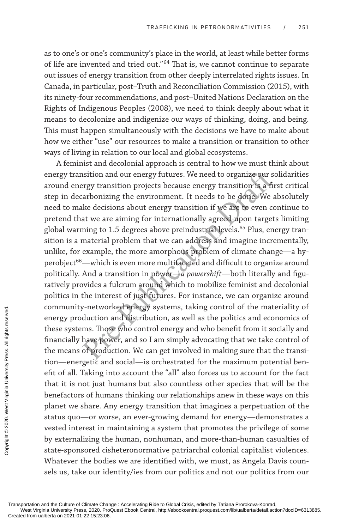as to one's or one's community's place in the world, at least while better forms of life are invented and tried out."<sup>64</sup> That is, we cannot continue to separate out issues of energy transition from other deeply interrelated rights issues. In Canada, in particular, post–Truth and Reconciliation Commission (2015), with its ninety-four recommendations, and post–United Nations Declaration on the Rights of Indigenous Peoples (2008), we need to think deeply about what it means to decolonize and indigenize our ways of thinking, doing, and being. This must happen simultaneously with the decisions we have to make about how we either "use" our resources to make a transition or transition to other ways of living in relation to our local and global ecosystems.

notion and our energy futures. We need to organize our set<br>rygy transition projects because energy transition is a fir<br>arbonizing the environment. It needs to be done. We a<br>ke decisions about energy transition if we are to A feminist and decolonial approach is central to how we must think about energy transition and our energy futures. We need to organize our solidarities around energy transition projects because energy transition is a first critical step in decarbonizing the environment. It needs to be done. We absolutely need to make decisions about energy transition if we are to even continue to pretend that we are aiming for internationally agreed-upon targets limiting global warming to 1.5 degrees above preindustrial levels. 65 Plus, energy transition is a material problem that we can address and imagine incrementally, unlike, for example, the more amorphous problem of climate change—a hyperobject <sup>66</sup>—which is even more multifaceted and difficult to organize around politically. And a transition in power—*a powershift*—both literally and figuratively provides a fulcrum around which to mobilize feminist and decolonial politics in the interest of just futures. For instance, we can organize around community-networked energy systems, taking control of the materiality of energy production and distribution, as well as the politics and economics of these systems. Those who control energy and who benefit from it socially and financially have power, and so I am simply advocating that we take control of the means of production. We can get involved in making sure that the transition—energetic and social—is orchestrated for the maximum potential benefit of all. Taking into account the "all" also forces us to account for the fact that it is not just humans but also countless other species that will be the benefactors of humans thinking our relationships anew in these ways on this planet we share. Any energy transition that imagines a perpetuation of the status quo—or worse, an ever-growing demand for energy—demonstrates a vested interest in maintaining a system that promotes the privilege of some by externalizing the human, nonhuman, and more-than-human casualties of state-sponsored cisheteronormative patriarchal colonial capitalist violences. Whatever the bodies we are identified with, we must, as Angela Davis counsels us, take our identity/ies from our politics and not our politics from our Community-networt<br>
energy production<br>
these systems. Those<br>
financially have pov<br>
the means of produ<br>
tion—energetic and<br>
efit of all. Taking in<br>
that it is not just b<br>
benefactors of hum<br>
planet we share. An<br>
status quo—o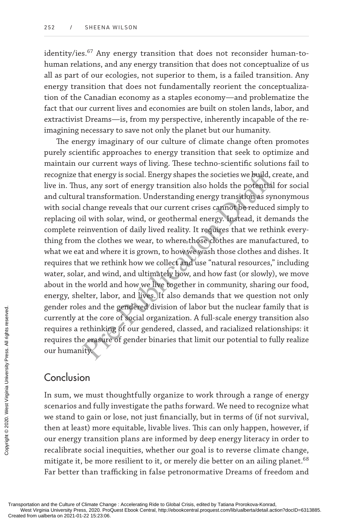identity/ies. <sup>67</sup> Any energy transition that does not reconsider human-tohuman relations, and any energy transition that does not conceptualize of us all as part of our ecologies, not superior to them, is a failed transition. Any energy transition that does not fundamentally reorient the conceptualization of the Canadian economy as a staples economy—and problematize the fact that our current lives and economies are built on stolen lands, labor, and extractivist Dreams—is, from my perspective, inherently incapable of the reimagining necessary to save not only the planet but our humanity.

hat energy is social. Energy shapes the societies we build, c<br>is, any sort of energy transition also holds the potential<br>il transformation. Understanding energy transition as syr<br>change reveals that our current crises cann The energy imaginary of our culture of climate change often promotes purely scientific approaches to energy transition that seek to optimize and maintain our current ways of living. These techno-scientific solutions fail to recognize that energy is social. Energy shapes the societies we build, create, and live in. Thus, any sort of energy transition also holds the potential for social and cultural transformation. Understanding energy transition as synonymous with social change reveals that our current crises cannot be reduced simply to replacing oil with solar, wind, or geothermal energy. Instead, it demands the complete reinvention of daily lived reality. It requires that we rethink everything from the clothes we wear, to where those clothes are manufactured, to what we eat and where it is grown, to how we wash those clothes and dishes. It requires that we rethink how we collect and use "natural resources," including water, solar, and wind, and ultimately how, and how fast (or slowly), we move about in the world and how we live together in community, sharing our food, energy, shelter, labor, and lives. It also demands that we question not only gender roles and the gendered division of labor but the nuclear family that is currently at the core of social organization. A full-scale energy transition also requires a rethinking of our gendered, classed, and racialized relationships: it requires the erasure of gender binaries that limit our potential to fully realize our humanity.

## Conclusion

In sum, we must thoughtfully organize to work through a range of energy scenarios and fully investigate the paths forward. We need to recognize what we stand to gain or lose, not just financially, but in terms of (if not survival, then at least) more equitable, livable lives. This can only happen, however, if our energy transition plans are informed by deep energy literacy in order to recalibrate social inequities, whether our goal is to reverse climate change, mitigate it, be more resilient to it, or merely die better on an ailing planet. 68 Far better than trafficking in false petronormative Dreams of freedom and Exercise the erastic conduction and the Culture of Climate Changeotated from ualberta on 2021-01-22 15:23:06. Conduction conduction conduction where  $\frac{1}{2}$  Conduction Canadian Changeotate School and the Culture of Clima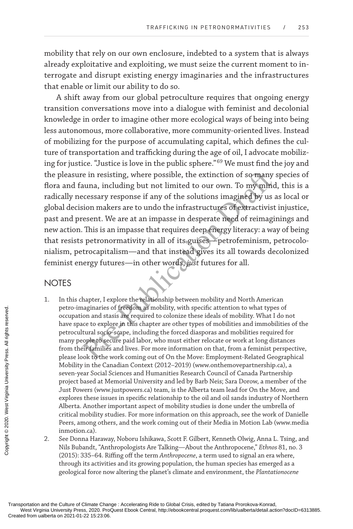mobility that rely on our own enclosure, indebted to a system that is always already exploitative and exploiting, we must seize the current moment to interrogate and disrupt existing energy imaginaries and the infrastructures that enable or limit our ability to do so.

ie in resisting, where possible, the extinction of so many<br>
auna, including but not limited to our own. To my mind<br>
recessary response if any of the solutions imagined by us<br>
sion makers are to undo the infrastructures of A shift away from our global petroculture requires that ongoing energy transition conversations move into a dialogue with feminist and decolonial knowledge in order to imagine other more ecological ways of being into being less autonomous, more collaborative, more community-oriented lives. Instead of mobilizing for the purpose of accumulating capital, which defines the culture of transportation and trafficking during the age of oil, I advocate mobilizing for justice. "Justice is love in the public sphere." <sup>69</sup> We must find the joy and the pleasure in resisting, where possible, the extinction of so many species of flora and fauna, including but not limited to our own. To my mind, this is a radically necessary response if any of the solutions imagined by us as local or global decision makers are to undo the infrastructures of extractivist injustice, past and present. We are at an impasse in desperate need of reimaginings and new action. This is an impasse that requires deep energy literacy: a way of being that resists petronormativity in all of its guises—petrofeminism, petrocolonialism, petrocapitalism—and that instead gives its all towards decolonized feminist energy futures—in other words, *just* futures for all.

## **NOTES**

- 1. In this chapter, I explore the relationship between mobility and North American petro-imaginaries of freedom as mobility, with specific attention to what types of occupation and stasis are required to colonize these ideals of mobility. What I do not have space to explore in this chapter are other types of mobilities and immobilities of the petrocultural socio-scape, including the forced diasporas and mobilities required for many people to secure paid labor, who must either relocate or work at long distances from their families and lives. For more information on that, from a feminist perspective, please look to the work coming out of On the Move: Employment-Related Geographical Mobility in the Canadian Context (2012–2019) (www.onthemovepartnership.ca), a seven-year Social Sciences and Humanities Research Council of Canada Partnership project based at Memorial University and led by Barb Neis; Sara Dorow, a member of the Just Powers (www.justpowers.ca) team, is the Alberta team lead for On the Move, and explores these issues in specific relationship to the oil and oil sands industry of Northern Alberta. Another important aspect of mobility studies is done under the umbrella of critical mobility studies. For more information on this approach, see the work of Danielle Peers, among others, and the work coming out of their Media in Motion Lab (www.media inmotion.ca). Petro-Imagnaries<br>
occupation and sta<br>
have space to explore<br>
petrocultural socion<br>
many people to see<br>
from their families<br>
please look to the<br>
Mobility in the Can<br>
served-yer Social & M<br>
Just Powers (www.<br>
explores these
	- 2. See Donna Haraway, Noboru Ishikawa, Scott F. Gilbert, Kenneth Olwig, Anna L. Tsing, and Nils Bubandt, "Anthropologists Are Talking—About the Anthropocene," *Ethnos* 81, no. 3 (2015): 335–64. Riffing off the term *Anthropocene*, a term used to signal an era where, through its activities and its growing population, the human species has emerged as a geological force now altering the planet's climate and environment, the *Plantationocene*

Transportation and the Culture of Climate Change : Accelerating Ride to Global Crisis, edited by Tatiana Prorokova-Konrad, West Virginia University Press, 2020. Proceed and protection of the two should University Press, 2020. Press, 2020. Press, 2020. Product Distriction?docID=6313885.<br>West Virginia University Press, 2020. ProQuest Ebook Centr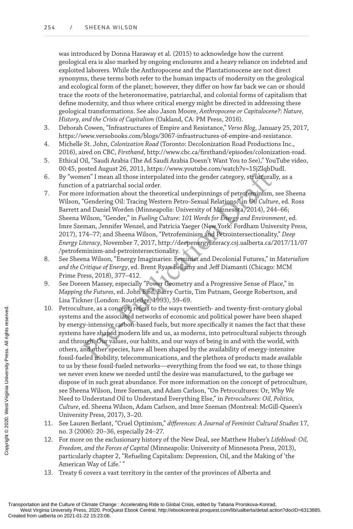was introduced by Donna Haraway et al. (2015) to acknowledge how the current geological era is also marked by ongoing enclosures and a heavy reliance on indebted and exploited laborers. While the Anthropocene and the Plantationocene are not direct synonyms, these terms both refer to the human impacts of modernity on the geological and ecological form of the planet; however, they differ on how far back we can or should trace the roots of the heteronormative, patriarchal, and colonial forms of capitalism that define modernity, and thus where critical energy might be directed in addressing these geological transformations. See also Jason Moore, *Anthropocene or Capitalocene?: Nature, History, and the Crisis of Capitalism* (Oakland, CA: PM Press, 2016).

- 3. Deborah Cowen, "Infrastructures of Empire and Resistance," *Verso Blog*, January 25, 2017, https://www.versobooks.com/blogs/3067-infrastructures-of-empire-and-resistance.
- 4. Michelle St. John, *Colonization Road* (Toronto: Decolonization Road Productions Inc., 2016), aired on CBC, *Firsthand*, http://www.cbc.ca/firsthand/episodes/colonization-road.
- 5. Ethical Oil, "Saudi Arabia (The Ad Saudi Arabia Doesn't Want You to See)," YouTube video, 00:45, posted August 26, 2011, https://www.youtube.com/watch?v=1SjZlqbDudI.
- 6. By "women" I mean all those interpolated into the gender category, structurally, as a function of a patriarchal social order.
- ene<sup>n</sup> I mean all those interpolated into the gender category, structural<br>or a partirarchal social order.<br>
Pre-Publication about the theoretical underpinnings of petroferninism,<br>
"Gendering Oil: Tracing Western Petro-Sexua 7. For more information about the theoretical underpinnings of petrofeminism, see Sheena Wilson, "Gendering Oil: Tracing Western Petro-Sexual Relations," in *Oil Culture*, ed. Ross Barrett and Daniel Worden (Minneapolis: University of Minnesota, 2014), 244–66; Sheena Wilson, "Gender," in *Fueling Culture: 101 Words for Energy and Environment*, ed. Imre Szeman, Jennifer Wenzel, and Patricia Yaeger (New York: Fordham University Press, 2017), 174–77; and Sheena Wilson, "Petrofeminism and Petrointersectionality," *Deep Energy Literacy*, November 7, 2017, http://deepenergyliteracy.csj.ualberta.ca/2017/11/07 /petrofeminism-and-petrointersectionality.
- 8. See Sheena Wilson, "Energy Imaginaries: Feminist and Decolonial Futures," in *Materialism and the Critique of Energy*, ed. Brent Ryan Bellamy and Jeff Diamanti (Chicago: MCM Prime Press, 2018), 377–412.
- 9. See Doreen Massey, especially "Power Geometry and a Progressive Sense of Place," in *Mapping the Futures*, ed. John Bird, Barry Curtis, Tim Putnam, George Robertson, and Lisa Tickner (London: Routledge, 1993), 59–69.
- 10. Petroculture, as a concept, refers to the ways twentieth- and twenty-first-century global systems and the associated networks of economic and political power have been shaped by energy-intensive carbon-based fuels, but more specifically it names the fact that these systems have shaped modern life and us, as moderns, into petrocultural subjects through and through. Our values, our habits, and our ways of being in and with the world, with others, and other species, have all been shaped by the availability of energy-intensive fossil-fueled mobility, telecommunications, and the plethora of products made available to us by these fossil-fueled networks—everything from the food we eat, to those things we never even knew we needed until the desire was manufactured, to the garbage we dispose of in such great abundance. For more information on the concept of petroculture, see Sheena Wilson, Imre Szeman, and Adam Carlson, "On Petrocultures: Or, Why We Need to Understand Oil to Understand Everything Else," in *Petrocultures: Oil, Politics, Culture*, ed. Sheena Wilson, Adam Carlson, and Imre Szeman (Montreal: McGill-Queen's University Press, 2017), 3–20. Transportation and the Culture of Climate Characterial Created from ualberta on 2021-01-22 15:23:06. Copyright Created from ualberta on 2021-01-22 15:23:06. Copyright Created from ualberta on 2021-01-22 15:23:06. Copyright
	- 11. See Lauren Berlant, "Cruel Optimism," *differences: A Journal of Feminist Cultural Studies* 17, no. 3 (2006): 20–36, especially 24–27.
	- 12. For more on the exclusionary history of the New Deal, see Matthew Huber's *Lifeblood: Oil, Freedom, and the Forces of Capital* (Minneapolis: University of Minnesota Press, 2013), particularly chapter 2, "Refueling Capitalism: Depression, Oil, and the Making of 'the American Way of Life.' "
	- 13. Treaty 6 covers a vast territory in the center of the provinces of Alberta and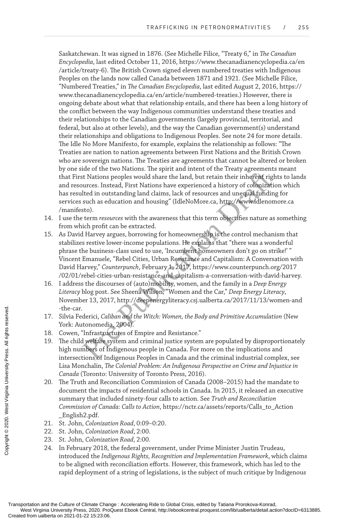Saskatchewan. It was signed in 1876. (See Michelle Filice, "Treaty 6," in *The Canadian Encyclopedia*, last edited October 11, 2016, https://www.thecanadianencyclopedia.ca/en /article/treaty-6). The British Crown signed eleven numbered treaties with Indigenous Peoples on the lands now called Canada between 1871 and 1921. (See Michelle Filice, "Numbered Treaties," in *The Canadian Encyclopedia*, last edited August 2, 2016, https:// www.thecanadianencyclopedia.ca/en/article/numbered-treaties.) However, there is ongoing debate about what that relationship entails, and there has been a long history of the conflict between the way Indigenous communities understand these treaties and their relationships to the Canadian governments (largely provincial, territorial, and federal, but also at other levels), and the way the Canadian government(s) understand their relationships and obligations to Indigenous Peoples. See note 24 for more details. The Idle No More Manifesto, for example, explains the relationship as follows: "The Treaties are nation to nation agreements between First Nations and the British Crown who are sovereign nations. The Treaties are agreements that cannot be altered or broken by one side of the two Nations. The spirit and intent of the Treaty agreements meant that First Nations peoples would share the land, but retain their inherent rights to lands and resources. Instead, First Nations have experienced a history of colonization which has resulted in outstanding land claims, lack of resources and unequal funding for services such as education and housing" (IdleNoMore.ca, http://www.idlenomore.ca /manifesto).

- 14. I use the term *resources* with the awareness that this term objectifies nature as something from which profit can be extracted.
- External to the state of the Michael Schematical Charlier Schematical Charlier interactions peoples would share the land, but retain their inherent right<br>variety. Instead, First Nations have experienced a history of colon 15. As David Harvey argues, borrowing for homeownership is the control mechanism that stabilizes restive lower-income populations. He explains that "there was a wonderful phrase the business-class used to use, 'Incumbent homeowners don't go on strike!' " Vincent Emanuele, "Rebel Cities, Urban Resistance and Capitalism: A Conversation with David Harvey," *Counterpunch*, February 1, 2017, https://www.counterpunch.org/2017 /02/01/rebel-cities-urban-resistance-and-capitalism-a-conversation-with-david-harvey.
- 16. I address the discourses of (auto)mobility, women, and the family in a *Deep Energy Literacy* blog post. See Sheena Wilson, "Women and the Car," *Deep Energy Literacy*, November 13, 2017, http://deepenergyliteracy.csj.ualberta.ca/2017/11/13/women-and -the-car.
- 17. Silvia Federici, *Caliban and the Witch: Women, the Body and Primitive Accumulation* (New York: Autonomedia, 2004).
- 18. Cowen, "Infrastructures of Empire and Resistance."
- 19. The child welfare system and criminal justice system are populated by disproportionately high numbers of Indigenous people in Canada. For more on the implications and intersections of Indigenous Peoples in Canada and the criminal industrial complex, see Lisa Monchalin, *The Colonial Problem: An Indigenous Perspective on Crime and Injustice in Canada* (Toronto: University of Toronto Press, 2016). The-car.<br>
17. Silvia Federici, *Cali*<br>
York: Autonomedia<br>
York: Autonomedia<br>
18. Cowen, "Infrastruce<br>
19. The child welfare symple mumbers of Intersections of Intersections of Intersections of Intersections of Intersectio
	- 20. The Truth and Reconciliation Commission of Canada (2008–2015) had the mandate to document the impacts of residential schools in Canada. In 2015, it released an executive summary that included ninety-four calls to action. See *Truth and Reconciliation Commission of Canada: Calls to Action*, https://nctr.ca/assets/reports/Calls\_to\_Action \_English2.pdf.
	- 21. St. John, *Colonization Road*, 0:09–0:20.
	- 22. St. John, *Colonization Road*, 2:00.
	- 23. St. John, *Colonization Road*, 2:00.
	- 24. In February 2018, the federal government, under Prime Minister Justin Trudeau, introduced the *Indigenous Rights, Recognition and Implementation Framework*, which claims to be aligned with reconciliation efforts. However, this framework, which has led to the rapid deployment of a string of legislations, is the subject of much critique by Indigenous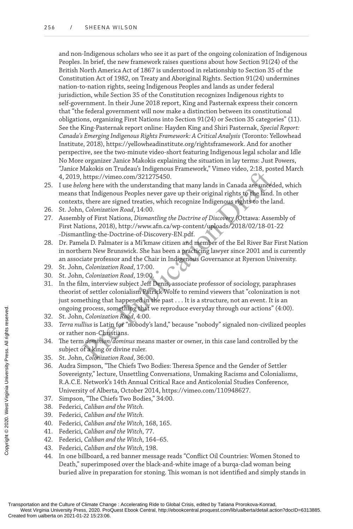and non-Indigenous scholars who see it as part of the ongoing colonization of Indigenous Peoples. In brief, the new framework raises questions about how Section 91(24) of the British North America Act of 1867 is understood in relationship to Section 35 of the Constitution Act of 1982, on Treaty and Aboriginal Rights. Section 91(24) undermines nation-to-nation rights, seeing Indigenous Peoples and lands as under federal jurisdiction, while Section 35 of the Constitution recognizes Indigenous rights to self-government. In their June 2018 report, King and Pasternak express their concern that "the federal government will now make a distinction between its constitutional obligations, organizing First Nations into Section 91(24) or Section 35 categories" (11). See the King-Pasternak report online: Hayden King and Shiri Pasternak, *Special Report: Canada's Emerging Indigenous Rights Framework: A Critical Analysis* (Toronto: Yellowhead Institute, 2018), https://yellowheadinstitute.org/rightsframework. And for another perspective, see the two-minute video-short featuring Indigenous legal scholar and Idle No More organizer Janice Makokis explaining the situation in lay terms: Just Powers, "Janice Makokis on Trudeau's Indigenous Framework," Vimeo video, 2:18, posted March 4, 2019, https://vimeo.com/321275450.

- 25. I use *belong* here with the understanding that many lands in Canada are unceded, which means that Indigenous Peoples never gave up their original rights to the land. In other contexts, there are signed treaties, which recognize Indigenous rights to the land.
- 26. St. John, *Colonization Road*, 14:00.
- 27. Assembly of First Nations, *Dismantling the Doctrine of Discovery* (Ottawa: Assembly of First Nations, 2018), http://www.afn.ca/wp-content/uploads/2018/02/18-01-22 -Dismantling-the-Doctrine-of-Discovery-EN.pdf.
- 28. Dr. Pamela D. Palmater is a Mi'kmaw citizen and member of the Eel River Bar First Nation in northern New Brunswick. She has been a practicing lawyer since 2001 and is currently an associate professor and the Chair in Indigenous Governance at Ryerson University.
- 29. St. John, *Colonization Road*, 17:00.
- 30. St. John, *Colonization Road*, 19:00.
- Attribute the control of the saturation, the case, they have the set of the set of the set of the set of the set of the set of the set of the set of the set of the set of the set of the set of the set of the set of the set 31. In the film, interview subject Jeff Denis, associate professor of sociology, paraphrases theorist of settler colonialism Patrick Wolfe to remind viewers that "colonization is not just something that happened in the past . . . It is a structure, not an event. It is an ongoing process, something that we reproduce everyday through our actions" (4:00).
- 32. St. John, *Colonization Road*, 4:00.
- 33. *Terra nullius* is Latin for "nobody's land," because "nobody" signaled non-civilized peoples or rather non-Christians.
- 34. The term *dominion*/*dominus* means master or owner, in this case land controlled by the subject of a king or divine ruler.
- 35. St. John, *Colonization Road*, 36:00.
- 36. Audra Simpson, "The Chiefs Two Bodies: Theresa Spence and the Gender of Settler Sovereignty," lecture, Unsettling Conversations, Unmaking Racisms and Colonialisms, R.A.C.E. Network's 14th Annual Critical Race and Anticolonial Studies Conference, University of Alberta, October 2014, https://vimeo.com/110948627. Created from ualberta on 2021-01-22 15:23:06<br>
Created from ualberta on 2021-01-22 15:23:06<br>
Created from ualberta on 2021-01-22 15:23:06<br>
Created from ualberta on 2021-01-22 15:23:06<br>
Created from ualberta on 2021-01-22 15
	- 37. Simpson, "The Chiefs Two Bodies," 34:00.
	- 38. Federici, *Caliban and the Witch.*
	- 39. Federici, *Caliban and the Witch.*
	- 40. Federici, *Caliban and the Witch*, 168, 165.
	- 41. Federici, *Caliban and the Witch*, 77.
	- 42. Federici, *Caliban and the Witch*, 164–65.
	- 43. Federici, *Caliban and the Witch*, 198.
	- 44. In one billboard, a red banner message reads "Conflict Oil Countries: Women Stoned to Death," superimposed over the black-and-white image of a burqa-clad woman being buried alive in preparation for stoning. This woman is not identified and simply stands in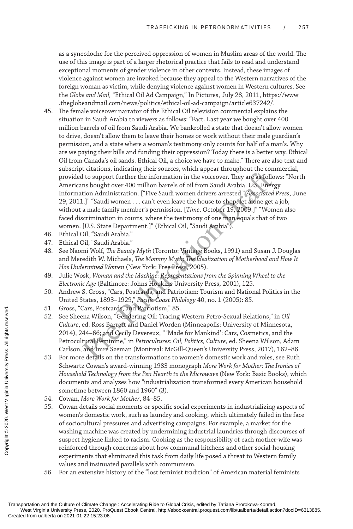as a synecdoche for the perceived oppression of women in Muslim areas of the world. The use of this image is part of a larger rhetorical practice that fails to read and understand exceptional moments of gender violence in other contexts. Instead, these images of violence against women are invoked because they appeal to the Western narratives of the foreign woman as victim, while denying violence against women in Western cultures. See the *Globe and Mail,* "Ethical Oil Ad Campaign," In Pictures, July 28, 2011, https://www .theglobeandmail.com/news/politics/ethical-oil-ad-campaign/article637242/.

- 1 to support further the information in the voiceover. They are as follons bought over 400 million barrels of oil from Saudi Arabia. U.S. Energion Administration. ["Five Saudi women drivers arrested." Associated 1.]" "Saud 45. The female voiceover narrator of the Ethical Oil television commercial explains the situation in Saudi Arabia to viewers as follows: "Fact. Last year we bought over 400 million barrels of oil from Saudi Arabia. We bankrolled a state that doesn't allow women to drive, doesn't allow them to leave their homes or work without their male guardian's permission, and a state where a woman's testimony only counts for half of a man's. Why are we paying their bills and funding their oppression? Today there is a better way. Ethical Oil from Canada's oil sands. Ethical Oil, a choice we have to make." There are also text and subscript citations, indicating their sources, which appear throughout the commercial, provided to support further the information in the voiceover. They are as follows: "North Americans bought over 400 million barrels of oil from Saudi Arabia. U.S. Energy Information Administration. ["Five Saudi women drivers arrested." *Associated Press*, June 29, 2011.]" "Saudi women . . . can't even leave the house to shop, let alone get a job, without a male family member's permission. [*Time*, October 19, 2009.]" "Women also faced discrimination in courts, where the testimony of one man equals that of two women. [U.S. State Department.]" (Ethical Oil, "Saudi Arabia").
- 46. Ethical Oil, "Saudi Arabia."
- 47. Ethical Oil, "Saudi Arabia."
- 48. See Naomi Wolf, *The Beauty Myth* (Toronto: Vintage Books, 1991) and Susan J. Douglas and Meredith W. Michaels, *The Mommy Myth: The Idealization of Motherhood and How It Has Undermined Women* (New York: Free Press, 2005).
- 49. Julie Wosk, *Woman and the Machine: Representations from the Spinning Wheel to the Electronic Age* (Baltimore: Johns Hopkins University Press, 2001), 125.
- 50. Andrew S. Gross, "Cars, Postcards, and Patriotism: Tourism and National Politics in the United States, 1893–1929," *Pacific Coast Philology* 40, no. 1 (2005): 85.
- 51. Gross, "Cars, Postcards, and Patriotism," 85.
- 52. See Sheena Wilson, "Gendering Oil: Tracing Western Petro-Sexual Relations," in *Oil Culture*, ed. Ross Barrett and Daniel Worden (Minneapolis: University of Minnesota, 2014), 244–66; and Cecily Devereux, " 'Made for Mankind': Cars, Cosmetics, and the Petrocultural Feminine," in *Petrocultures: Oil, Politics, Culture*, ed. Sheena Wilson, Adam Carlson, and Imre Szeman (Montreal: McGill-Queen's University Press, 2017), 162–86.
- 53. For more details on the transformations to women's domestic work and roles, see Ruth Schwartz Cowan's award-winning 1983 monograph *More Work for Mother: The Ironies of Household Technology from the Pen Hearth to the Microwave* (New York: Basic Books), which documents and analyzes how "industrialization transformed every American household sometime between 1860 and 1960" (3).
- 54. Cowan, *More Work for Mother*, 84–85.
- 55. Cowan details social moments or specific social experiments in industrializing aspects of women's domestic work, such as laundry and cooking, which ultimately failed in the face of sociocultural pressures and advertising campaigns. For example, a market for the washing machine was created by undermining industrial laundries through discourses of suspect hygiene linked to racism. Cooking as the responsibility of each mother-wife was reinforced through concerns about how communal kitchens and other social-housing experiments that eliminated this task from daily life posed a threat to Western family values and insinuated parallels with communism. S1. Gross, "Carrs, Postcones"<br>
S2. See Sheena Wilson<br>
Culture, ed. Ross B:<br>
2014), 244–66; and<br>
Petrocultural Femi<br>
Carlson, and Imre<br>
Carlson, and Imre<br>
Carlson, and Imre<br>
S5. For more details on<br>
Schwartz Cowan's Bionoc
	- 56. For an extensive history of the "lost feminist tradition" of American material feminists